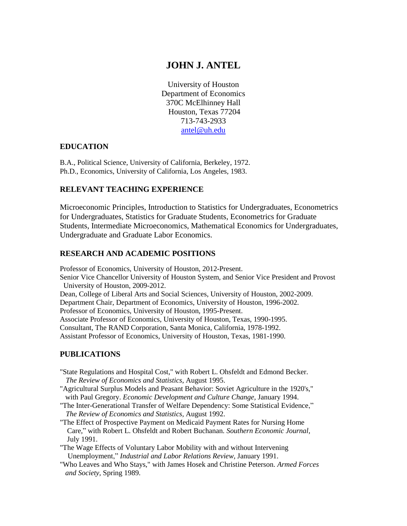# **JOHN J. ANTEL**

University of Houston Department of Economics 370C McElhinney Hall Houston, Texas 77204 713-743-2933 [antel@uh.edu](mailto:antel@uh.edu)

### **EDUCATION**

B.A., Political Science, University of California, Berkeley, 1972. Ph.D., Economics, University of California, Los Angeles, 1983.

#### **RELEVANT TEACHING EXPERIENCE**

Microeconomic Principles, Introduction to Statistics for Undergraduates, Econometrics for Undergraduates, Statistics for Graduate Students, Econometrics for Graduate Students, Intermediate Microeconomics, Mathematical Economics for Undergraduates, Undergraduate and Graduate Labor Economics.

### **RESEARCH AND ACADEMIC POSITIONS**

Professor of Economics, University of Houston, 2012-Present. Senior Vice Chancellor University of Houston System, and Senior Vice President and Provost University of Houston, 2009-2012. Dean, College of Liberal Arts and Social Sciences, University of Houston, 2002-2009. Department Chair, Department of Economics, University of Houston, 1996-2002. Professor of Economics, University of Houston, 1995-Present. Associate Professor of Economics, University of Houston, Texas, 1990-1995. Consultant, The RAND Corporation, Santa Monica, California, 1978-1992. Assistant Professor of Economics, University of Houston, Texas, 1981-1990.

### **PUBLICATIONS**

- "State Regulations and Hospital Cost," with Robert L. Ohsfeldt and Edmond Becker. *The Review of Economics and Statistics*, August 1995.
- "Agricultural Surplus Models and Peasant Behavior: Soviet Agriculture in the 1920's," with Paul Gregory. *Economic Development and Culture Change,* January 1994.
- "The Inter-Generational Transfer of Welfare Dependency: Some Statistical Evidence," *The Review of Economics and Statistics,* August 1992.
- "The Effect of Prospective Payment on Medicaid Payment Rates for Nursing Home Care," with Robert L. Ohsfeldt and Robert Buchanan. *Southern Economic Journal,* July 1991.
- "The Wage Effects of Voluntary Labor Mobility with and without Intervening Unemployment," *Industrial and Labor Relations Review,* January 1991.
- "Who Leaves and Who Stays," with James Hosek and Christine Peterson. *Armed Forces and Society,* Spring 1989.